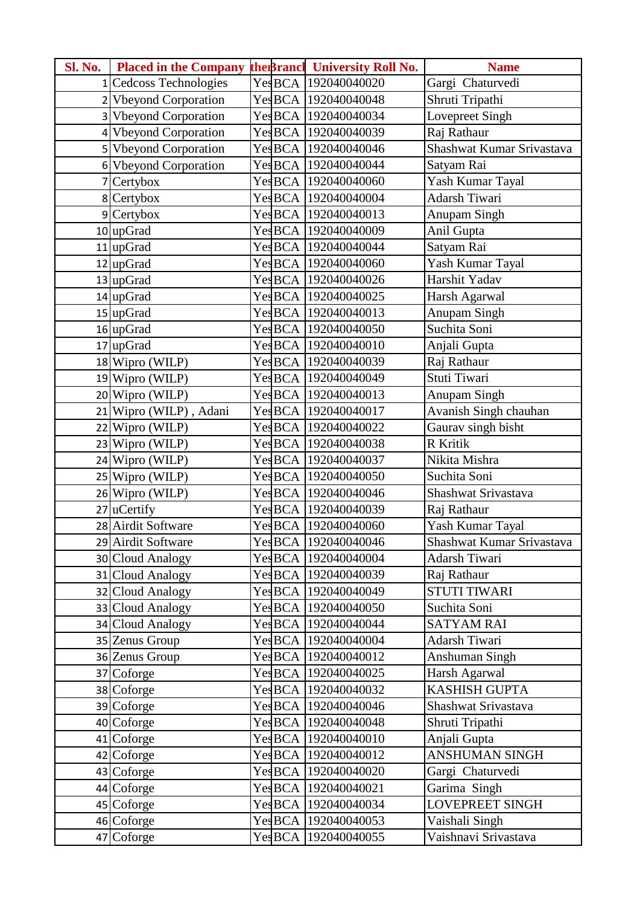| <b>Sl. No.</b> | <b>Placed in the Company</b> |         | the Brancl University Roll No. | <b>Name</b>               |
|----------------|------------------------------|---------|--------------------------------|---------------------------|
|                | 1 Cedcoss Technologies       |         | Yes BCA 192040040020           | Gargi Chaturvedi          |
|                | 2 Vbeyond Corporation        |         | Yes BCA 192040040048           | Shruti Tripathi           |
|                | 3 Vbeyond Corporation        |         | YesBCA 192040040034            | Lovepreet Singh           |
|                | 4 Vbeyond Corporation        |         | Yes BCA 192040040039           | Raj Rathaur               |
|                | 5 Vbeyond Corporation        |         | YesBCA 192040040046            | Shashwat Kumar Srivastava |
|                | 6 Vbeyond Corporation        |         | Yes BCA 192040040044           | Satyam Rai                |
|                | 7 Certybox                   |         | YesBCA 192040040060            | Yash Kumar Tayal          |
|                | 8 Certybox                   |         | YesBCA 192040040004            | Adarsh Tiwari             |
|                | 9 Certybox                   |         | YesBCA 192040040013            | Anupam Singh              |
|                | $10$ up Grad                 |         | YesBCA 192040040009            | Anil Gupta                |
|                | $11$ upGrad                  |         | YesBCA 192040040044            | Satyam Rai                |
|                | $12$ upGrad                  |         | YesBCA 192040040060            | Yash Kumar Tayal          |
|                | $13$ upGrad                  |         | YesBCA 192040040026            | Harshit Yadav             |
|                | $14$ upGrad                  |         | Yes BCA 192040040025           | Harsh Agarwal             |
|                | $15$ upGrad                  |         | Yes BCA 192040040013           | <b>Anupam Singh</b>       |
|                | $16$ upGrad                  |         | YesBCA 192040040050            | Suchita Soni              |
|                | 17 upGrad                    |         | Yes BCA 192040040010           | Anjali Gupta              |
|                | 18 Wipro (WILP)              |         | YesBCA 192040040039            | Raj Rathaur               |
|                | 19 Wipro (WILP)              |         | YesBCA 192040040049            | Stuti Tiwari              |
|                | 20 Wipro (WILP)              |         | Yes BCA 192040040013           | Anupam Singh              |
|                | 21 Wipro (WILP), Adani       |         | Yes BCA 192040040017           | Avanish Singh chauhan     |
|                | 22 Wipro (WILP)              |         | YesBCA 192040040022            | Gaurav singh bisht        |
|                | 23 Wipro (WILP)              |         | Yes BCA 192040040038           | R Kritik                  |
|                | 24 Wipro (WILP)              |         | YesBCA 192040040037            | Nikita Mishra             |
|                | 25 Wipro (WILP)              |         | YesBCA 192040040050            | Suchita Soni              |
|                | 26 Wipro (WILP)              |         | YesBCA 192040040046            | Shashwat Srivastava       |
|                | $27$ uCertify                |         | YesBCA 192040040039            | Raj Rathaur               |
|                | 28 Airdit Software           |         | YesBCA 192040040060            | Yash Kumar Tayal          |
|                | 29 Airdit Software           |         | Yes BCA 192040040046           | Shashwat Kumar Srivastava |
|                | 30 Cloud Analogy             |         | YesBCA 192040040004            | Adarsh Tiwari             |
|                | 31 Cloud Analogy             |         | YesBCA 192040040039            | Raj Rathaur               |
|                | 32 Cloud Analogy             |         | Yes BCA 192040040049           | <b>STUTI TIWARI</b>       |
|                | 33 Cloud Analogy             |         | YesBCA 192040040050            | Suchita Soni              |
|                | 34 Cloud Analogy             |         | YesBCA 192040040044            | <b>SATYAM RAI</b>         |
|                | 35 Zenus Group               |         | YesBCA 192040040004            | Adarsh Tiwari             |
|                | 36 Zenus Group               |         | YesBCA 192040040012            | Anshuman Singh            |
|                | 37 Coforge                   |         | YesBCA 192040040025            | Harsh Agarwal             |
|                | 38 Coforge                   |         | YesBCA 192040040032            | KASHISH GUPTA             |
|                | 39 Coforge                   |         | YesBCA 192040040046            | Shashwat Srivastava       |
|                | $40$ Coforge                 | YesBCA  | 192040040048                   | Shruti Tripathi           |
|                | 41 Coforge                   | Yes BCA | 192040040010                   | Anjali Gupta              |
|                | $42$ Coforge                 |         | YesBCA 192040040012            | ANSHUMAN SINGH            |
|                | 43 Coforge                   |         | YesBCA 192040040020            | Gargi Chaturvedi          |
|                | 44 Coforge                   |         | YesBCA 192040040021            | Garima Singh              |
|                | 45 Coforge                   |         | YesBCA 192040040034            | LOVEPREET SINGH           |
|                | 46 Coforge                   |         | YesBCA 192040040053            | Vaishali Singh            |
|                | 47 Coforge                   |         | YesBCA 192040040055            | Vaishnavi Srivastava      |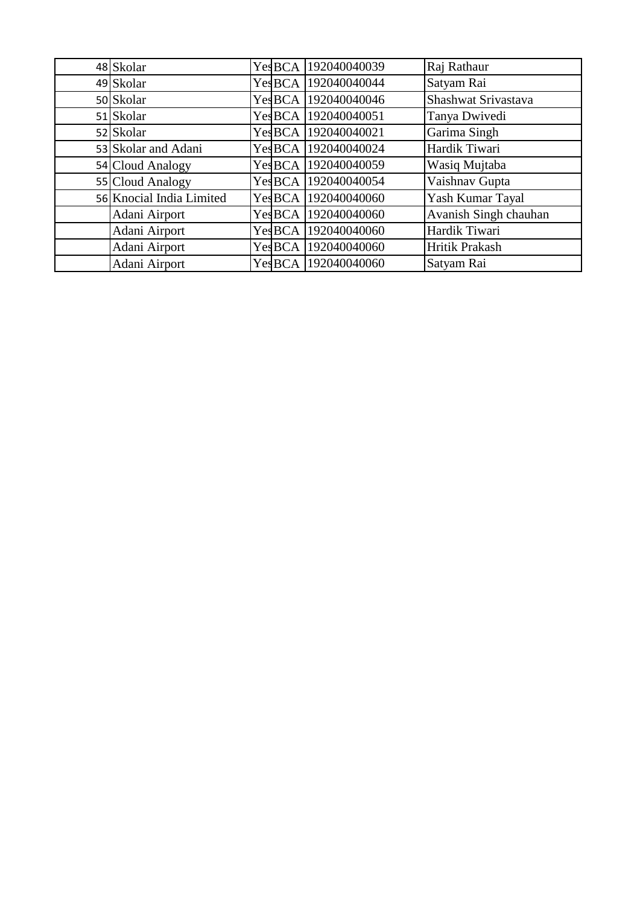| 48 Skolar                | YesBCA  | 192040040039        | Raj Rathaur           |
|--------------------------|---------|---------------------|-----------------------|
| 49 Skolar                | Yes BCA | 192040040044        | Satyam Rai            |
| 50 Skolar                | Yes BCA | 192040040046        | Shashwat Srivastava   |
| 51 Skolar                | YesBCA  | 192040040051        | Tanya Dwivedi         |
| 52 Skolar                | YesBCA  | 192040040021        | Garima Singh          |
| 53 Skolar and Adani      | Yes BCA | 192040040024        | Hardik Tiwari         |
| 54 Cloud Analogy         | YesBCA  | 192040040059        | Wasiq Mujtaba         |
| 55 Cloud Analogy         | Yes BCA | 192040040054        | Vaishnav Gupta        |
| 56 Knocial India Limited | Yes BCA | 192040040060        | Yash Kumar Tayal      |
| Adani Airport            | Yes BCA | 192040040060        | Avanish Singh chauhan |
| Adani Airport            | YesBCA  | 192040040060        | Hardik Tiwari         |
| Adani Airport            |         | YesBCA 192040040060 | Hritik Prakash        |
| Adani Airport            |         | YesBCA 192040040060 | Satyam Rai            |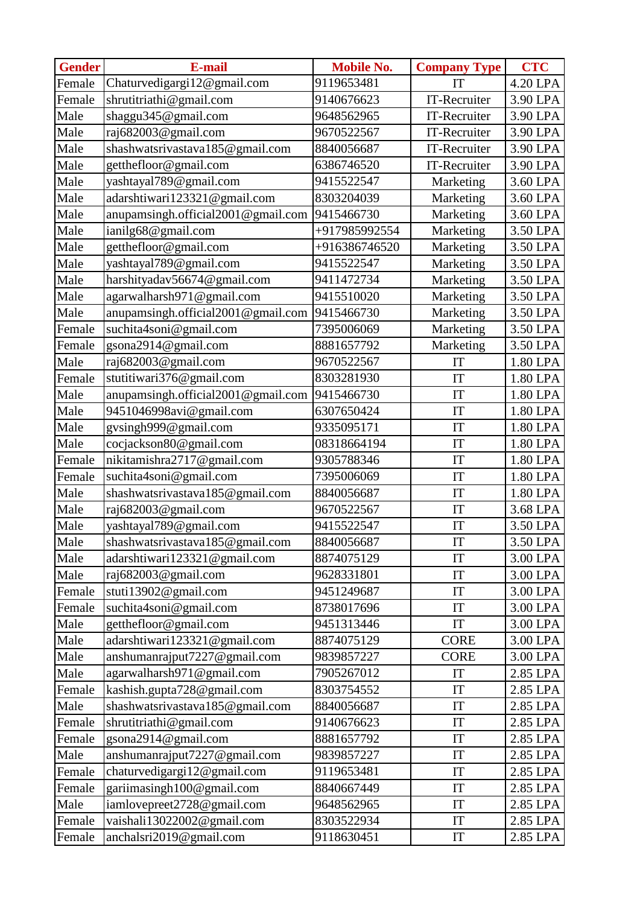| <b>Gender</b> | E-mail                             | <b>Mobile No.</b> | <b>Company Type</b>        | <b>CTC</b> |
|---------------|------------------------------------|-------------------|----------------------------|------------|
| Female        | Chaturvedigargi12@gmail.com        | 9119653481        | IT                         | 4.20 LPA   |
| Female        | shrutitriathi@gmail.com            | 9140676623        | IT-Recruiter               | 3.90 LPA   |
| Male          | shaggu345@gmail.com                | 9648562965        | IT-Recruiter               | 3.90 LPA   |
| Male          | raj682003@gmail.com                | 9670522567        | IT-Recruiter               | 3.90 LPA   |
| Male          | shashwatsrivastava185@gmail.com    | 8840056687        | IT-Recruiter               | 3.90 LPA   |
| Male          | getthefloor@gmail.com              | 6386746520        | IT-Recruiter               | 3.90 LPA   |
| Male          | yashtayal789@gmail.com             | 9415522547        | Marketing                  | 3.60 LPA   |
| Male          | adarshtiwari123321@gmail.com       | 8303204039        | Marketing                  | 3.60 LPA   |
| Male          | anupamsingh.official2001@gmail.com | 9415466730        | Marketing                  | 3.60 LPA   |
| Male          | ianilg68@gmail.com                 | +917985992554     | Marketing                  | 3.50 LPA   |
| Male          | getthefloor@gmail.com              | +916386746520     | Marketing                  | 3.50 LPA   |
| Male          | yashtayal789@gmail.com             | 9415522547        | Marketing                  | 3.50 LPA   |
| Male          | harshityadav56674@gmail.com        | 9411472734        | Marketing                  | 3.50 LPA   |
| Male          | agarwalharsh971@gmail.com          | 9415510020        | Marketing                  | 3.50 LPA   |
| Male          | anupamsingh.official2001@gmail.com | 9415466730        | Marketing                  | 3.50 LPA   |
| Female        | suchita4soni@gmail.com             | 7395006069        | Marketing                  | 3.50 LPA   |
| Female        | gsona2914@gmail.com                | 8881657792        | Marketing                  | 3.50 LPA   |
| Male          | raj682003@gmail.com                | 9670522567        | IT                         | 1.80 LPA   |
| Female        | stutitiwari376@gmail.com           | 8303281930        | IT                         | 1.80 LPA   |
| Male          | anupamsingh.official2001@gmail.com | 9415466730        | IT                         | 1.80 LPA   |
| Male          | 9451046998avi@gmail.com            | 6307650424        | IT                         | 1.80 LPA   |
| Male          | gysingh999@gmail.com               | 9335095171        | IT                         | 1.80 LPA   |
| Male          | cocjackson80@gmail.com             | 08318664194       | IT                         | 1.80 LPA   |
| Female        | nikitamishra2717@gmail.com         | 9305788346        | IT                         | 1.80 LPA   |
| Female        | suchita4soni@gmail.com             | 7395006069        | IT                         | 1.80 LPA   |
| Male          | shashwatsrivastava185@gmail.com    | 8840056687        | IT                         | 1.80 LPA   |
| Male          | raj682003@gmail.com                | 9670522567        | $\ensuremath{\mathsf{IT}}$ | 3.68 LPA   |
| Male          | yashtayal789@gmail.com             | 9415522547        | IT                         | 3.50 LPA   |
| Male          | shashwatsrivastava185@gmail.com    | 8840056687        | IT                         | 3.50 LPA   |
| Male          | adarshtiwari123321@gmail.com       | 8874075129        | IT                         | 3.00 LPA   |
| Male          | raj682003@gmail.com                | 9628331801        | IT                         | 3.00 LPA   |
| Female        | stuti13902@gmail.com               | 9451249687        | IT                         | 3.00 LPA   |
| Female        | suchita4soni@gmail.com             | 8738017696        | IT                         | 3.00 LPA   |
| Male          | getthefloor@gmail.com              | 9451313446        | IT                         | 3.00 LPA   |
| Male          | adarshtiwari123321@gmail.com       | 8874075129        | <b>CORE</b>                | 3.00 LPA   |
| Male          | anshumanrajput7227@gmail.com       | 9839857227        | <b>CORE</b>                | 3.00 LPA   |
| Male          | agarwalharsh971@gmail.com          | 7905267012        | IT                         | 2.85 LPA   |
| Female        | kashish.gupta728@gmail.com         | 8303754552        | IT                         | 2.85 LPA   |
| Male          | shashwatsrivastava185@gmail.com    | 8840056687        | IT                         | 2.85 LPA   |
| Female        | shrutitriathi@gmail.com            | 9140676623        | IT                         | 2.85 LPA   |
| Female        | gsona2914@gmail.com                | 8881657792        | IT                         | 2.85 LPA   |
| Male          | anshumanrajput7227@gmail.com       | 9839857227        | IT                         | 2.85 LPA   |
| Female        | chaturvedigargi12@gmail.com        | 9119653481        | IT                         | 2.85 LPA   |
| Female        | gariimasingh100@gmail.com          | 8840667449        | IT                         | 2.85 LPA   |
| Male          | iamlovepreet2728@gmail.com         | 9648562965        | IT                         | 2.85 LPA   |
| Female        | vaishali13022002@gmail.com         | 8303522934        | IT                         | 2.85 LPA   |
| Female        | anchalsri2019@gmail.com            | 9118630451        | IT                         | 2.85 LPA   |